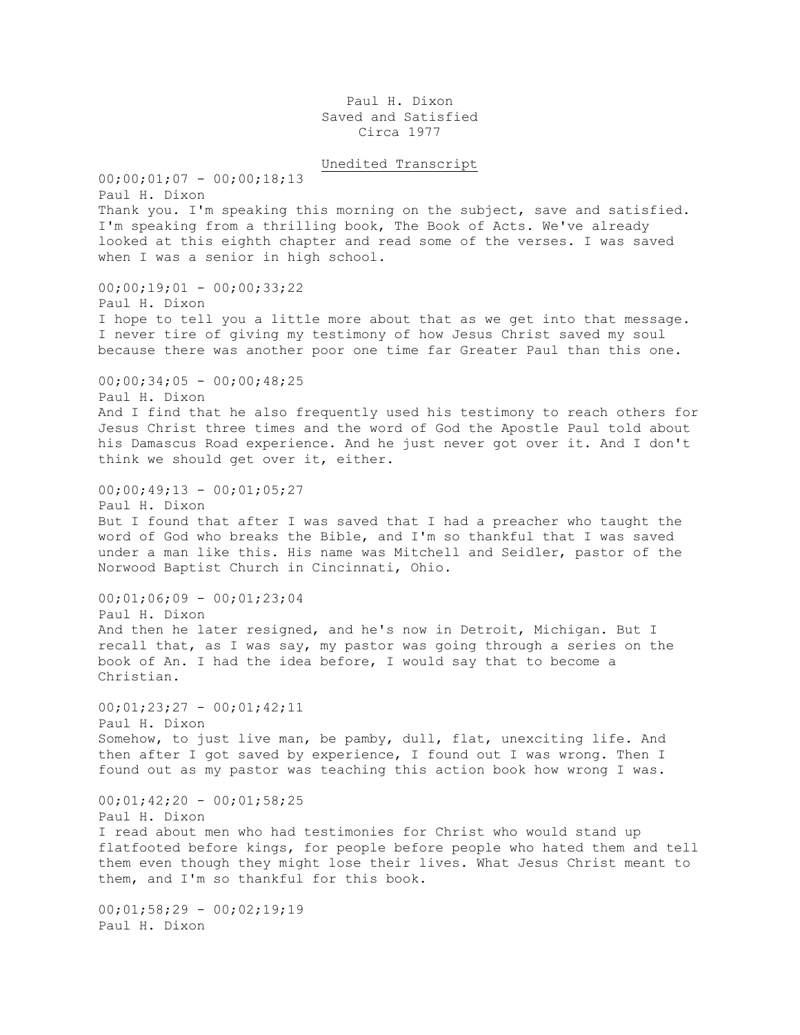Paul H. Dixon Saved and Satisfied Circa 1977

Unedited Transcript  $00;00;01;07 - 00;00;18;13$ Paul H. Dixon Thank you. I'm speaking this morning on the subject, save and satisfied.

I'm speaking from a thrilling book, The Book of Acts. We've already looked at this eighth chapter and read some of the verses. I was saved when I was a senior in high school.

00;00;19;01 - 00;00;33;22

Paul H. Dixon I hope to tell you a little more about that as we get into that message. I never tire of giving my testimony of how Jesus Christ saved my soul because there was another poor one time far Greater Paul than this one.

 $00;00;34;05 - 00;00;48;25$ 

Paul H. Dixon

And I find that he also frequently used his testimony to reach others for Jesus Christ three times and the word of God the Apostle Paul told about his Damascus Road experience. And he just never got over it. And I don't think we should get over it, either.

 $00;00;49;13 - 00;01;05;27$ Paul H. Dixon But I found that after I was saved that I had a preacher who taught the word of God who breaks the Bible, and I'm so thankful that I was saved under a man like this. His name was Mitchell and Seidler, pastor of the Norwood Baptist Church in Cincinnati, Ohio.

 $00;01;06;09 - 00;01;23;04$ Paul H. Dixon And then he later resigned, and he's now in Detroit, Michigan. But I recall that, as I was say, my pastor was going through a series on the book of An. I had the idea before, I would say that to become a Christian.

 $00;01;23;27 - 00;01;42;11$ Paul H. Dixon Somehow, to just live man, be pamby, dull, flat, unexciting life. And then after I got saved by experience, I found out I was wrong. Then I found out as my pastor was teaching this action book how wrong I was.

 $00;01;42;20 - 00;01;58;25$ Paul H. Dixon I read about men who had testimonies for Christ who would stand up flatfooted before kings, for people before people who hated them and tell them even though they might lose their lives. What Jesus Christ meant to them, and I'm so thankful for this book.

 $00;01;58;29 - 00;02;19;19$ Paul H. Dixon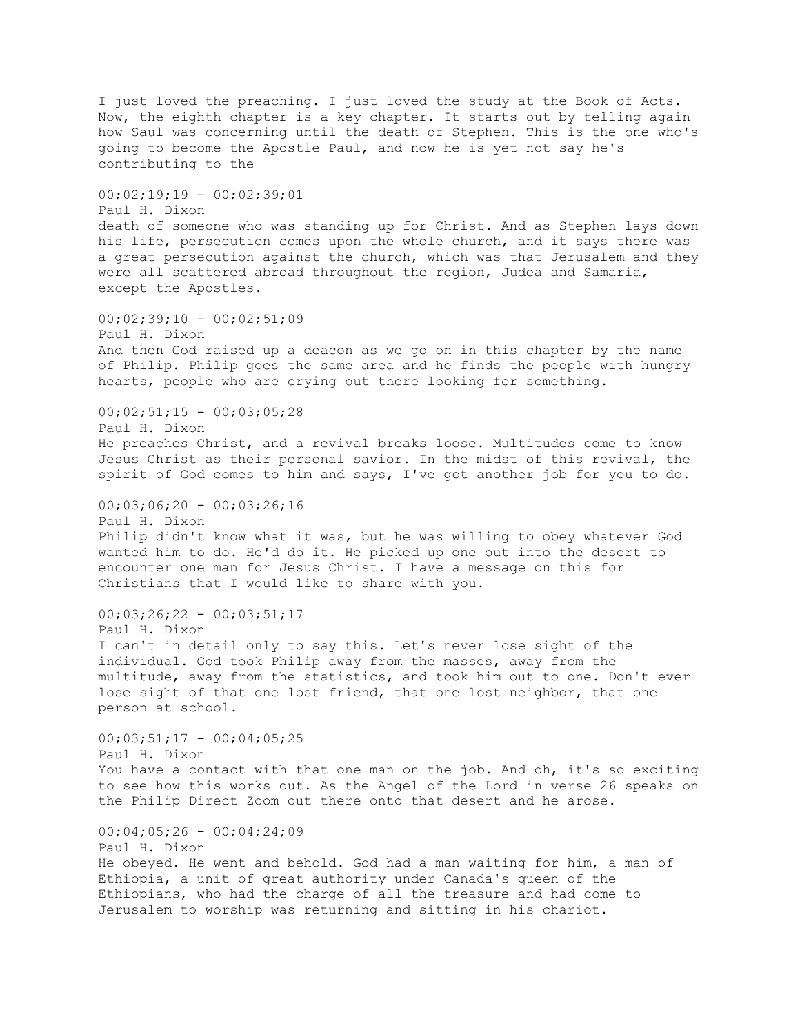I just loved the preaching. I just loved the study at the Book of Acts. Now, the eighth chapter is a key chapter. It starts out by telling again how Saul was concerning until the death of Stephen. This is the one who's going to become the Apostle Paul, and now he is yet not say he's contributing to the  $00;02;19;19 - 00;02;39;01$ Paul H. Dixon death of someone who was standing up for Christ. And as Stephen lays down his life, persecution comes upon the whole church, and it says there was a great persecution against the church, which was that Jerusalem and they were all scattered abroad throughout the region, Judea and Samaria, except the Apostles.  $00;02;39;10 - 00;02;51;09$ Paul H. Dixon And then God raised up a deacon as we go on in this chapter by the name of Philip. Philip goes the same area and he finds the people with hungry hearts, people who are crying out there looking for something.  $00;02;51;15 - 00;03;05;28$ Paul H. Dixon He preaches Christ, and a revival breaks loose. Multitudes come to know Jesus Christ as their personal savior. In the midst of this revival, the spirit of God comes to him and says, I've got another job for you to do.  $00;03;06;20 - 00;03;26;16$ Paul H. Dixon Philip didn't know what it was, but he was willing to obey whatever God wanted him to do. He'd do it. He picked up one out into the desert to encounter one man for Jesus Christ. I have a message on this for Christians that I would like to share with you.  $00;03;26;22 - 00;03;51;17$ Paul H. Dixon I can't in detail only to say this. Let's never lose sight of the individual. God took Philip away from the masses, away from the multitude, away from the statistics, and took him out to one. Don't ever lose sight of that one lost friend, that one lost neighbor, that one person at school.  $00;03;51;17 - 00;04;05;25$ Paul H. Dixon You have a contact with that one man on the job. And oh, it's so exciting to see how this works out. As the Angel of the Lord in verse 26 speaks on the Philip Direct Zoom out there onto that desert and he arose.  $00;04;05;26 - 00;04;24;09$ Paul H. Dixon He obeyed. He went and behold. God had a man waiting for him, a man of Ethiopia, a unit of great authority under Canada's queen of the Ethiopians, who had the charge of all the treasure and had come to Jerusalem to worship was returning and sitting in his chariot.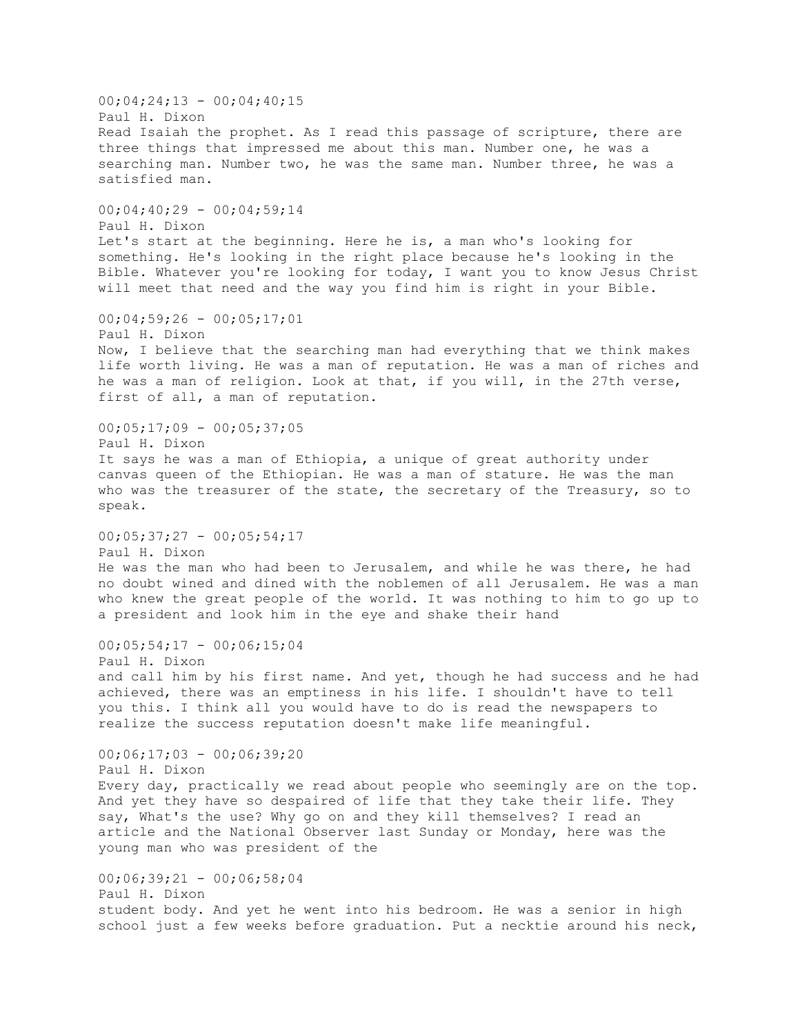$00;04;24;13 - 00;04;40;15$ Paul H. Dixon Read Isaiah the prophet. As I read this passage of scripture, there are three things that impressed me about this man. Number one, he was a searching man. Number two, he was the same man. Number three, he was a satisfied man.  $00;04;40;29 - 00;04;59;14$ Paul H. Dixon Let's start at the beginning. Here he is, a man who's looking for something. He's looking in the right place because he's looking in the Bible. Whatever you're looking for today, I want you to know Jesus Christ will meet that need and the way you find him is right in your Bible.  $00;04;59;26 - 00;05;17;01$ Paul H. Dixon Now, I believe that the searching man had everything that we think makes life worth living. He was a man of reputation. He was a man of riches and he was a man of religion. Look at that, if you will, in the 27th verse, first of all, a man of reputation.  $00;05;17;09 - 00;05;37;05$ Paul H. Dixon It says he was a man of Ethiopia, a unique of great authority under canvas queen of the Ethiopian. He was a man of stature. He was the man who was the treasurer of the state, the secretary of the Treasury, so to speak.  $00;05;37;27 - 00;05;54;17$ Paul H. Dixon He was the man who had been to Jerusalem, and while he was there, he had no doubt wined and dined with the noblemen of all Jerusalem. He was a man who knew the great people of the world. It was nothing to him to go up to a president and look him in the eye and shake their hand  $00;05;54;17 - 00;06;15;04$ Paul H. Dixon and call him by his first name. And yet, though he had success and he had achieved, there was an emptiness in his life. I shouldn't have to tell you this. I think all you would have to do is read the newspapers to realize the success reputation doesn't make life meaningful. 00;06;17;03 - 00;06;39;20 Paul H. Dixon Every day, practically we read about people who seemingly are on the top. And yet they have so despaired of life that they take their life. They say, What's the use? Why go on and they kill themselves? I read an article and the National Observer last Sunday or Monday, here was the young man who was president of the  $00;06;39;21 - 00;06;58;04$ Paul H. Dixon student body. And yet he went into his bedroom. He was a senior in high school just a few weeks before graduation. Put a necktie around his neck,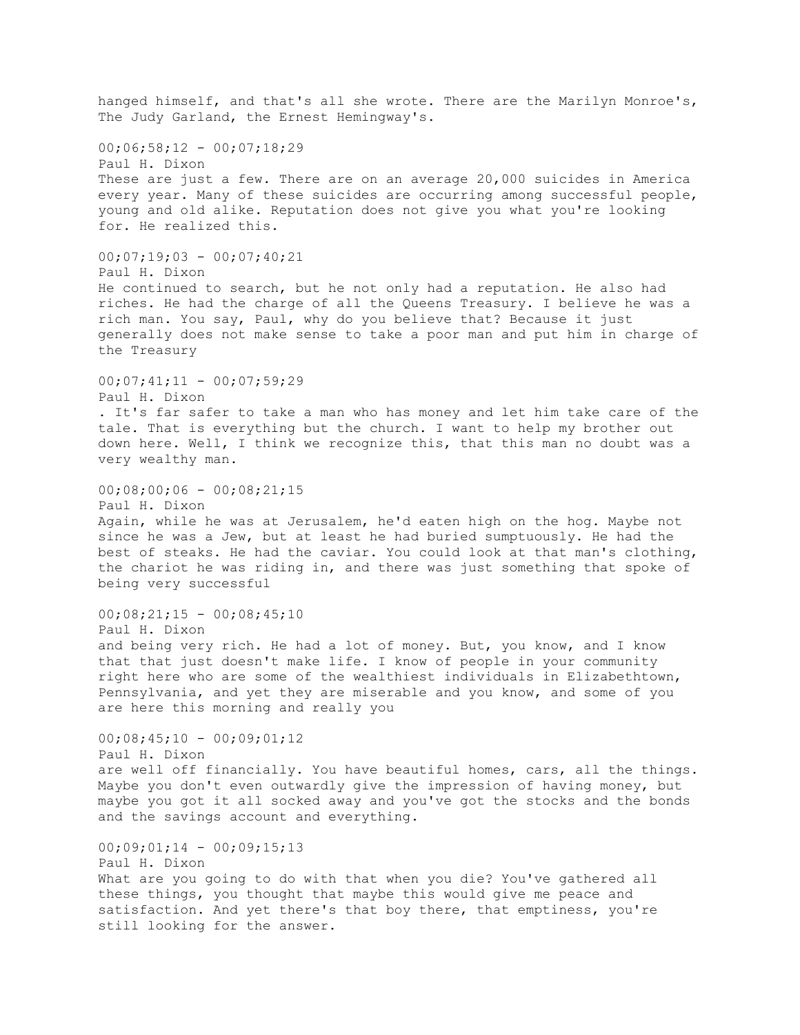hanged himself, and that's all she wrote. There are the Marilyn Monroe's, The Judy Garland, the Ernest Hemingway's.  $00;06;58;12 - 00;07;18;29$ Paul H. Dixon These are just a few. There are on an average 20,000 suicides in America every year. Many of these suicides are occurring among successful people, young and old alike. Reputation does not give you what you're looking for. He realized this.  $00;07;19;03 - 00;07;40;21$ Paul H. Dixon He continued to search, but he not only had a reputation. He also had riches. He had the charge of all the Queens Treasury. I believe he was a rich man. You say, Paul, why do you believe that? Because it just generally does not make sense to take a poor man and put him in charge of the Treasury  $00;07;41;11 - 00;07;59;29$ Paul H. Dixon . It's far safer to take a man who has money and let him take care of the tale. That is everything but the church. I want to help my brother out down here. Well, I think we recognize this, that this man no doubt was a very wealthy man.  $00;08;00;06 - 00;08;21;15$ Paul H. Dixon Again, while he was at Jerusalem, he'd eaten high on the hog. Maybe not since he was a Jew, but at least he had buried sumptuously. He had the best of steaks. He had the caviar. You could look at that man's clothing, the chariot he was riding in, and there was just something that spoke of being very successful  $00;08;21;15 - 00;08;45;10$ Paul H. Dixon and being very rich. He had a lot of money. But, you know, and I know that that just doesn't make life. I know of people in your community right here who are some of the wealthiest individuals in Elizabethtown, Pennsylvania, and yet they are miserable and you know, and some of you are here this morning and really you  $00;08;45;10 - 00;09;01;12$ Paul H. Dixon are well off financially. You have beautiful homes, cars, all the things. Maybe you don't even outwardly give the impression of having money, but maybe you got it all socked away and you've got the stocks and the bonds and the savings account and everything.  $00;09;01;14 - 00;09;15;13$ Paul H. Dixon What are you going to do with that when you die? You've gathered all these things, you thought that maybe this would give me peace and satisfaction. And yet there's that boy there, that emptiness, you're still looking for the answer.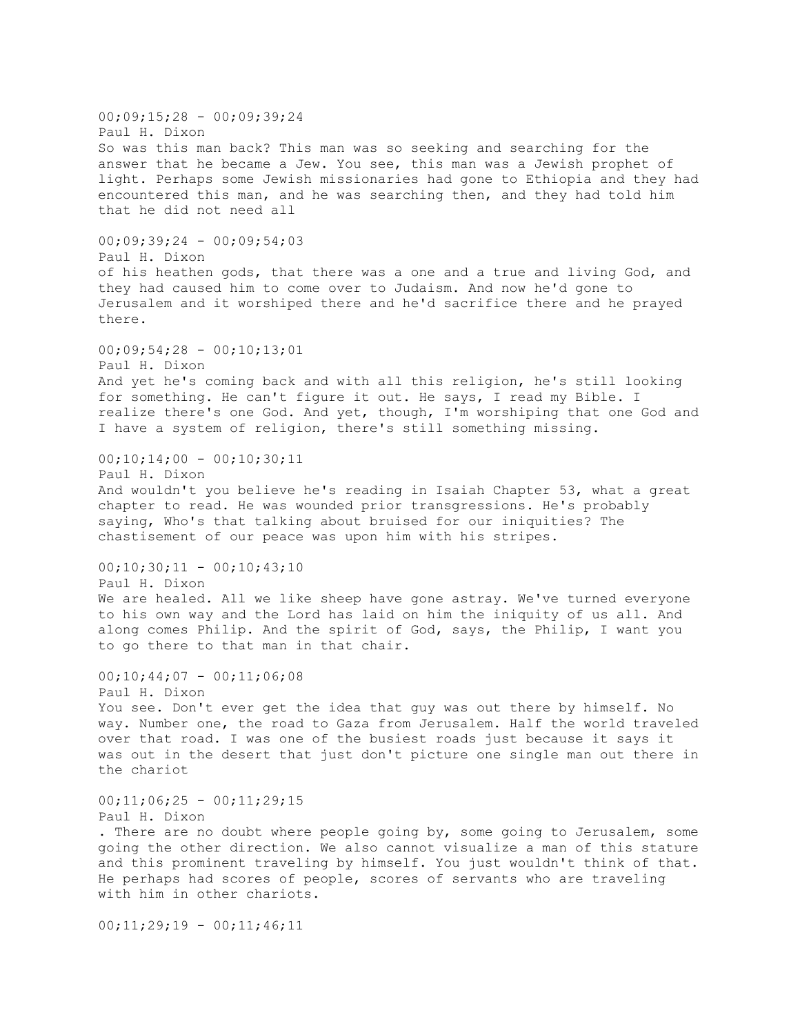$00;09;15;28 - 00;09;39;24$ Paul H. Dixon So was this man back? This man was so seeking and searching for the answer that he became a Jew. You see, this man was a Jewish prophet of light. Perhaps some Jewish missionaries had gone to Ethiopia and they had encountered this man, and he was searching then, and they had told him that he did not need all  $00:09:39:24 - 00:09:54:03$ Paul H. Dixon of his heathen gods, that there was a one and a true and living God, and they had caused him to come over to Judaism. And now he'd gone to Jerusalem and it worshiped there and he'd sacrifice there and he prayed there.  $00;09;54;28 - 00;10;13;01$ Paul H. Dixon And yet he's coming back and with all this religion, he's still looking for something. He can't figure it out. He says, I read my Bible. I realize there's one God. And yet, though, I'm worshiping that one God and I have a system of religion, there's still something missing.  $00;10;14;00 - 00;10;30;11$ Paul H. Dixon And wouldn't you believe he's reading in Isaiah Chapter 53, what a great chapter to read. He was wounded prior transgressions. He's probably saying, Who's that talking about bruised for our iniquities? The chastisement of our peace was upon him with his stripes.  $00;10;30;11 - 00;10;43;10$ Paul H. Dixon We are healed. All we like sheep have gone astray. We've turned everyone to his own way and the Lord has laid on him the iniquity of us all. And along comes Philip. And the spirit of God, says, the Philip, I want you to go there to that man in that chair.  $00;10;44;07 - 00;11;06;08$ Paul H. Dixon You see. Don't ever get the idea that guy was out there by himself. No way. Number one, the road to Gaza from Jerusalem. Half the world traveled over that road. I was one of the busiest roads just because it says it was out in the desert that just don't picture one single man out there in the chariot  $00;11;06;25 - 00;11;29;15$ Paul H. Dixon . There are no doubt where people going by, some going to Jerusalem, some going the other direction. We also cannot visualize a man of this stature and this prominent traveling by himself. You just wouldn't think of that. He perhaps had scores of people, scores of servants who are traveling with him in other chariots.

 $00;11;29;19 - 00;11;46;11$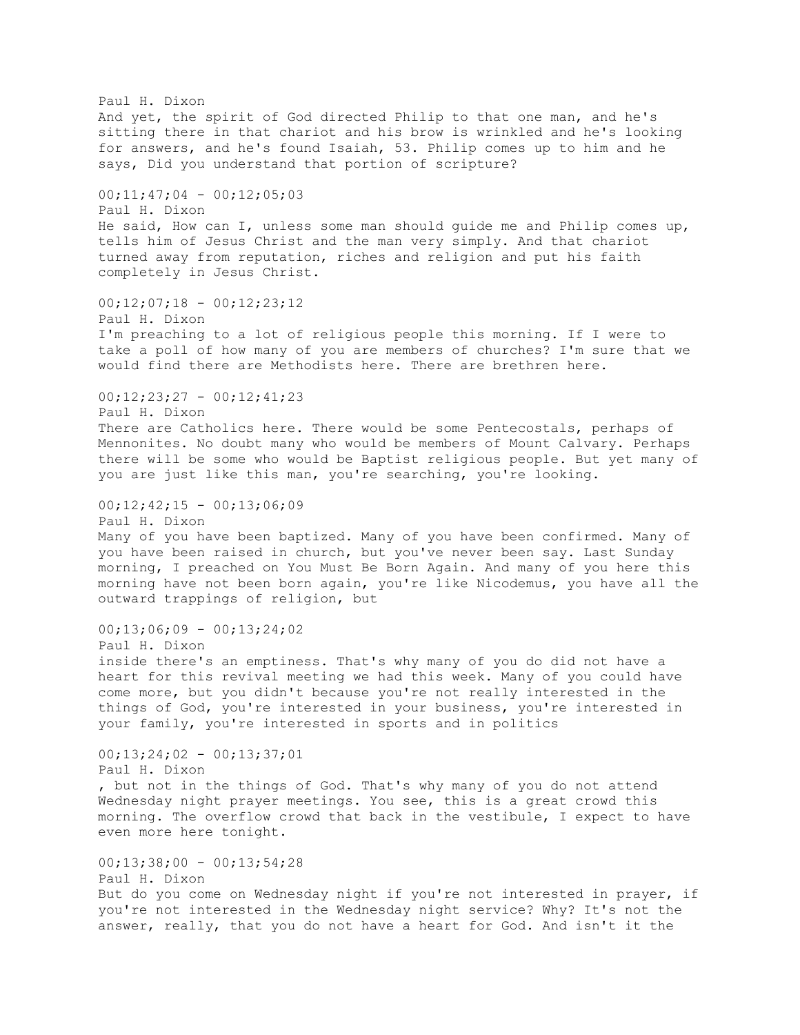Paul H. Dixon And yet, the spirit of God directed Philip to that one man, and he's sitting there in that chariot and his brow is wrinkled and he's looking for answers, and he's found Isaiah, 53. Philip comes up to him and he says, Did you understand that portion of scripture? 00;11;47;04 - 00;12;05;03 Paul H. Dixon He said, How can I, unless some man should guide me and Philip comes up, tells him of Jesus Christ and the man very simply. And that chariot turned away from reputation, riches and religion and put his faith completely in Jesus Christ.  $00;12;07;18 - 00;12;23;12$ Paul H. Dixon I'm preaching to a lot of religious people this morning. If I were to take a poll of how many of you are members of churches? I'm sure that we would find there are Methodists here. There are brethren here.  $00;12;23;27 - 00;12;41;23$ Paul H. Dixon There are Catholics here. There would be some Pentecostals, perhaps of Mennonites. No doubt many who would be members of Mount Calvary. Perhaps there will be some who would be Baptist religious people. But yet many of you are just like this man, you're searching, you're looking.  $00;12;42;15 - 00;13;06;09$ Paul H. Dixon Many of you have been baptized. Many of you have been confirmed. Many of you have been raised in church, but you've never been say. Last Sunday morning, I preached on You Must Be Born Again. And many of you here this morning have not been born again, you're like Nicodemus, you have all the outward trappings of religion, but  $00;13;06;09 - 00;13;24;02$ Paul H. Dixon inside there's an emptiness. That's why many of you do did not have a heart for this revival meeting we had this week. Many of you could have come more, but you didn't because you're not really interested in the things of God, you're interested in your business, you're interested in your family, you're interested in sports and in politics 00;13;24;02 - 00;13;37;01 Paul H. Dixon , but not in the things of God. That's why many of you do not attend Wednesday night prayer meetings. You see, this is a great crowd this morning. The overflow crowd that back in the vestibule, I expect to have even more here tonight. 00;13;38;00 - 00;13;54;28 Paul H. Dixon But do you come on Wednesday night if you're not interested in prayer, if you're not interested in the Wednesday night service? Why? It's not the answer, really, that you do not have a heart for God. And isn't it the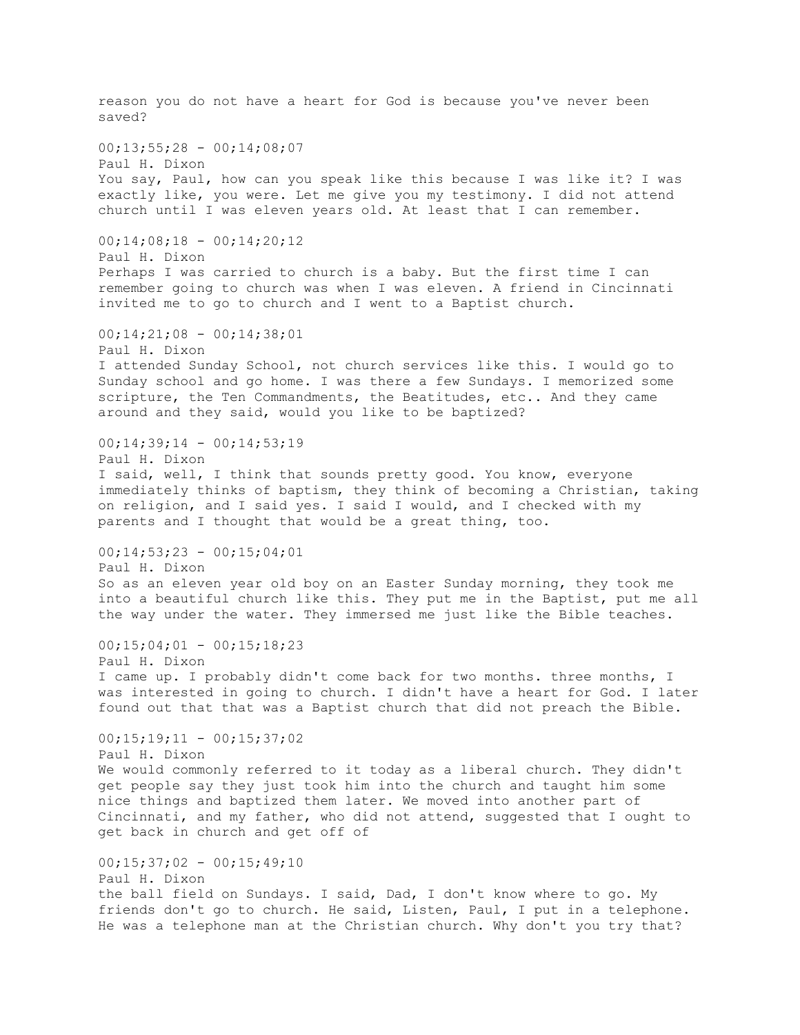reason you do not have a heart for God is because you've never been saved?  $00;13;55;28 - 00;14;08;07$ Paul H. Dixon You say, Paul, how can you speak like this because I was like it? I was exactly like, you were. Let me give you my testimony. I did not attend church until I was eleven years old. At least that I can remember.  $00;14;08;18 - 00;14;20;12$ Paul H. Dixon Perhaps I was carried to church is a baby. But the first time I can remember going to church was when I was eleven. A friend in Cincinnati invited me to go to church and I went to a Baptist church. 00;14;21;08 - 00;14;38;01 Paul H. Dixon I attended Sunday School, not church services like this. I would go to Sunday school and go home. I was there a few Sundays. I memorized some scripture, the Ten Commandments, the Beatitudes, etc.. And they came around and they said, would you like to be baptized?  $00;14;39;14 - 00;14;53;19$ Paul H. Dixon I said, well, I think that sounds pretty good. You know, everyone immediately thinks of baptism, they think of becoming a Christian, taking on religion, and I said yes. I said I would, and I checked with my parents and I thought that would be a great thing, too.  $00;14;53;23 - 00;15;04;01$ Paul H. Dixon So as an eleven year old boy on an Easter Sunday morning, they took me into a beautiful church like this. They put me in the Baptist, put me all the way under the water. They immersed me just like the Bible teaches.  $00;15;04;01 - 00;15;18;23$ Paul H. Dixon I came up. I probably didn't come back for two months. three months, I was interested in going to church. I didn't have a heart for God. I later found out that that was a Baptist church that did not preach the Bible.  $00;15;19;11 - 00;15;37;02$ Paul H. Dixon We would commonly referred to it today as a liberal church. They didn't get people say they just took him into the church and taught him some nice things and baptized them later. We moved into another part of Cincinnati, and my father, who did not attend, suggested that I ought to get back in church and get off of 00;15;37;02 - 00;15;49;10 Paul H. Dixon the ball field on Sundays. I said, Dad, I don't know where to go. My friends don't go to church. He said, Listen, Paul, I put in a telephone. He was a telephone man at the Christian church. Why don't you try that?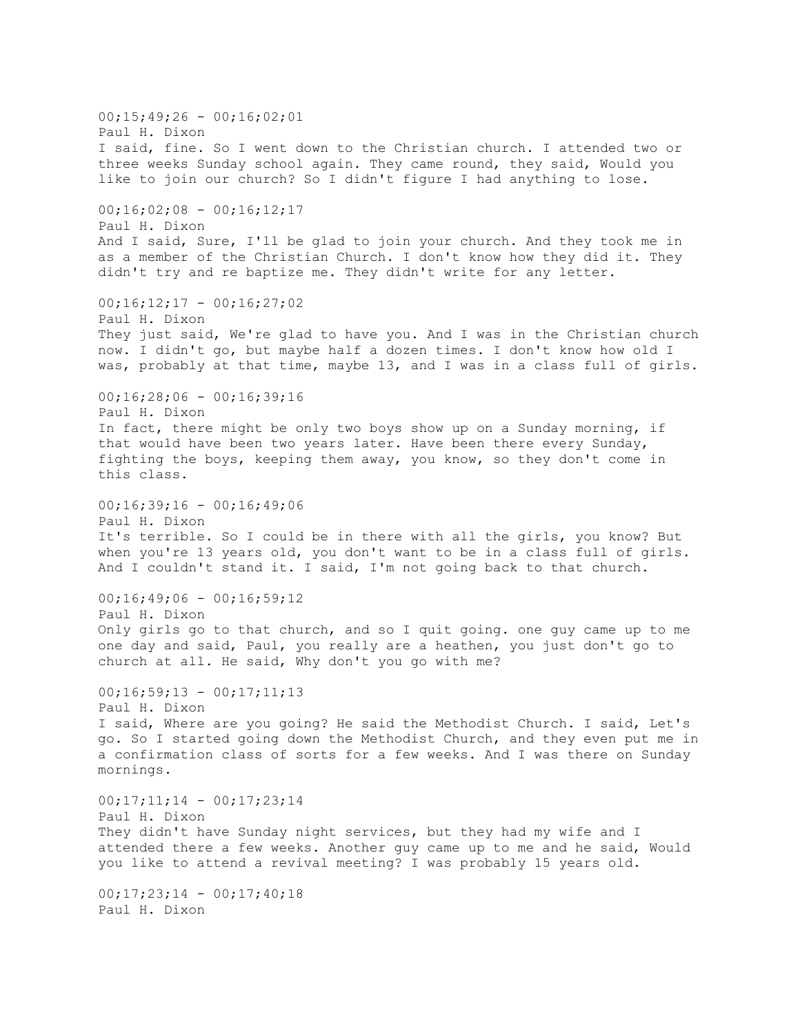$00;15;49;26 - 00;16;02;01$ Paul H. Dixon I said, fine. So I went down to the Christian church. I attended two or three weeks Sunday school again. They came round, they said, Would you like to join our church? So I didn't figure I had anything to lose.  $00;16;02;08 - 00;16;12;17$ Paul H. Dixon And I said, Sure, I'll be glad to join your church. And they took me in as a member of the Christian Church. I don't know how they did it. They didn't try and re baptize me. They didn't write for any letter.  $00;16;12;17 - 00;16;27;02$ Paul H. Dixon They just said, We're glad to have you. And I was in the Christian church now. I didn't go, but maybe half a dozen times. I don't know how old I was, probably at that time, maybe 13, and I was in a class full of girls.  $00;16;28;06 - 00;16;39;16$ Paul H. Dixon In fact, there might be only two boys show up on a Sunday morning, if that would have been two years later. Have been there every Sunday, fighting the boys, keeping them away, you know, so they don't come in this class.  $00;16;39;16 - 00;16;49;06$ Paul H. Dixon It's terrible. So I could be in there with all the girls, you know? But when you're 13 years old, you don't want to be in a class full of girls. And I couldn't stand it. I said, I'm not going back to that church.  $00;16;49;06 - 00;16;59;12$ Paul H. Dixon Only girls go to that church, and so I quit going. one guy came up to me one day and said, Paul, you really are a heathen, you just don't go to church at all. He said, Why don't you go with me?  $00;16;59;13 - 00;17;11;13$ Paul H. Dixon I said, Where are you going? He said the Methodist Church. I said, Let's go. So I started going down the Methodist Church, and they even put me in a confirmation class of sorts for a few weeks. And I was there on Sunday mornings.  $00;17;11;14 - 00;17;23;14$ Paul H. Dixon They didn't have Sunday night services, but they had my wife and I attended there a few weeks. Another guy came up to me and he said, Would you like to attend a revival meeting? I was probably 15 years old.  $00;17;23;14 - 00;17;40;18$ Paul H. Dixon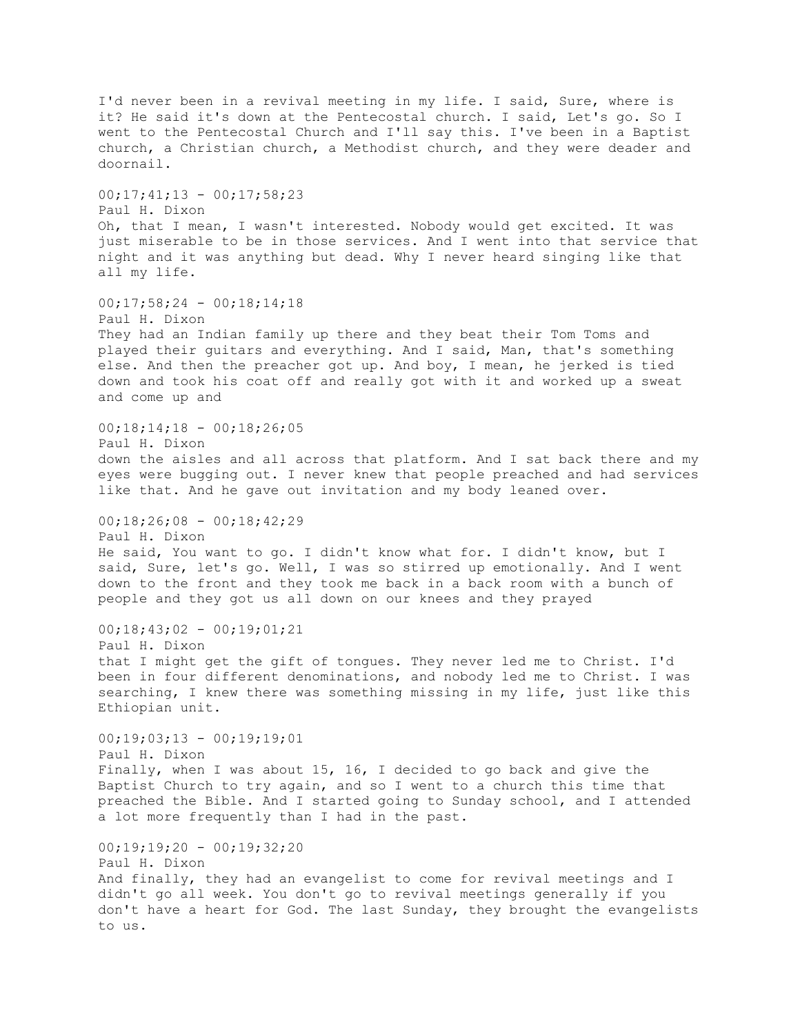I'd never been in a revival meeting in my life. I said, Sure, where is it? He said it's down at the Pentecostal church. I said, Let's go. So I went to the Pentecostal Church and I'll say this. I've been in a Baptist church, a Christian church, a Methodist church, and they were deader and doornail.  $00;17;41;13 - 00;17;58;23$ Paul H. Dixon Oh, that I mean, I wasn't interested. Nobody would get excited. It was just miserable to be in those services. And I went into that service that night and it was anything but dead. Why I never heard singing like that all my life. 00;17;58;24 - 00;18;14;18 Paul H. Dixon They had an Indian family up there and they beat their Tom Toms and played their guitars and everything. And I said, Man, that's something else. And then the preacher got up. And boy, I mean, he jerked is tied down and took his coat off and really got with it and worked up a sweat and come up and  $00;18;14;18 - 00;18;26;05$ Paul H. Dixon down the aisles and all across that platform. And I sat back there and my eyes were bugging out. I never knew that people preached and had services like that. And he gave out invitation and my body leaned over.  $00;18;26;08 - 00;18;42;29$ Paul H. Dixon He said, You want to go. I didn't know what for. I didn't know, but I said, Sure, let's go. Well, I was so stirred up emotionally. And I went down to the front and they took me back in a back room with a bunch of people and they got us all down on our knees and they prayed  $00;18;43;02 - 00;19;01;21$ Paul H. Dixon that I might get the gift of tongues. They never led me to Christ. I'd been in four different denominations, and nobody led me to Christ. I was searching, I knew there was something missing in my life, just like this Ethiopian unit.  $00;19;03;13 - 00;19;19;01$ Paul H. Dixon Finally, when I was about 15, 16, I decided to go back and give the Baptist Church to try again, and so I went to a church this time that preached the Bible. And I started going to Sunday school, and I attended a lot more frequently than I had in the past.  $00;19;19;20 - 00;19;32;20$ Paul H. Dixon And finally, they had an evangelist to come for revival meetings and I didn't go all week. You don't go to revival meetings generally if you don't have a heart for God. The last Sunday, they brought the evangelists to us.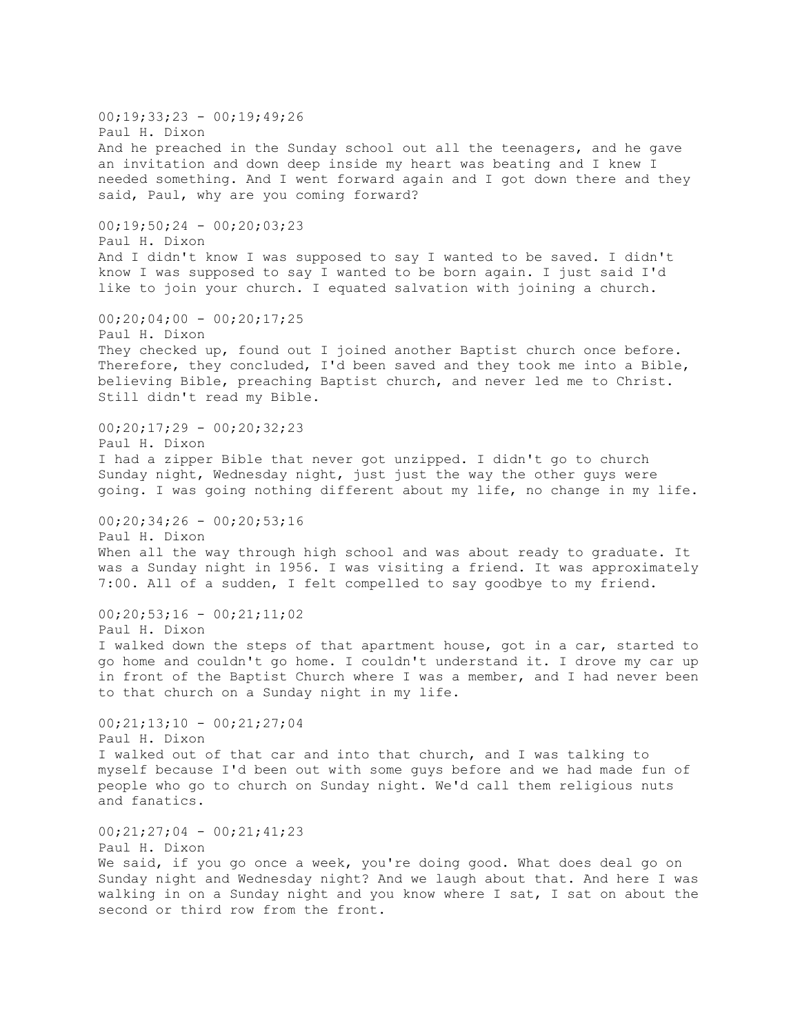$00;19;33;23 - 00;19;49;26$ Paul H. Dixon And he preached in the Sunday school out all the teenagers, and he gave an invitation and down deep inside my heart was beating and I knew I needed something. And I went forward again and I got down there and they said, Paul, why are you coming forward? 00;19;50;24 - 00;20;03;23 Paul H. Dixon And I didn't know I was supposed to say I wanted to be saved. I didn't know I was supposed to say I wanted to be born again. I just said I'd like to join your church. I equated salvation with joining a church.  $00;20;04;00 - 00;20;17;25$ Paul H. Dixon They checked up, found out I joined another Baptist church once before. Therefore, they concluded, I'd been saved and they took me into a Bible, believing Bible, preaching Baptist church, and never led me to Christ. Still didn't read my Bible.  $00;20;17;29 - 00;20;32;23$ Paul H. Dixon I had a zipper Bible that never got unzipped. I didn't go to church Sunday night, Wednesday night, just just the way the other guys were going. I was going nothing different about my life, no change in my life.  $00;20;34;26 - 00;20;53;16$ Paul H. Dixon When all the way through high school and was about ready to graduate. It was a Sunday night in 1956. I was visiting a friend. It was approximately 7:00. All of a sudden, I felt compelled to say goodbye to my friend.  $00;20;53;16 - 00;21;11;02$ Paul H. Dixon I walked down the steps of that apartment house, got in a car, started to go home and couldn't go home. I couldn't understand it. I drove my car up in front of the Baptist Church where I was a member, and I had never been to that church on a Sunday night in my life.  $00;21;13;10 - 00;21;27;04$ Paul H. Dixon I walked out of that car and into that church, and I was talking to myself because I'd been out with some guys before and we had made fun of people who go to church on Sunday night. We'd call them religious nuts and fanatics.  $00;21;27;04 - 00;21;41;23$ Paul H. Dixon We said, if you go once a week, you're doing good. What does deal go on Sunday night and Wednesday night? And we laugh about that. And here I was walking in on a Sunday night and you know where I sat, I sat on about the second or third row from the front.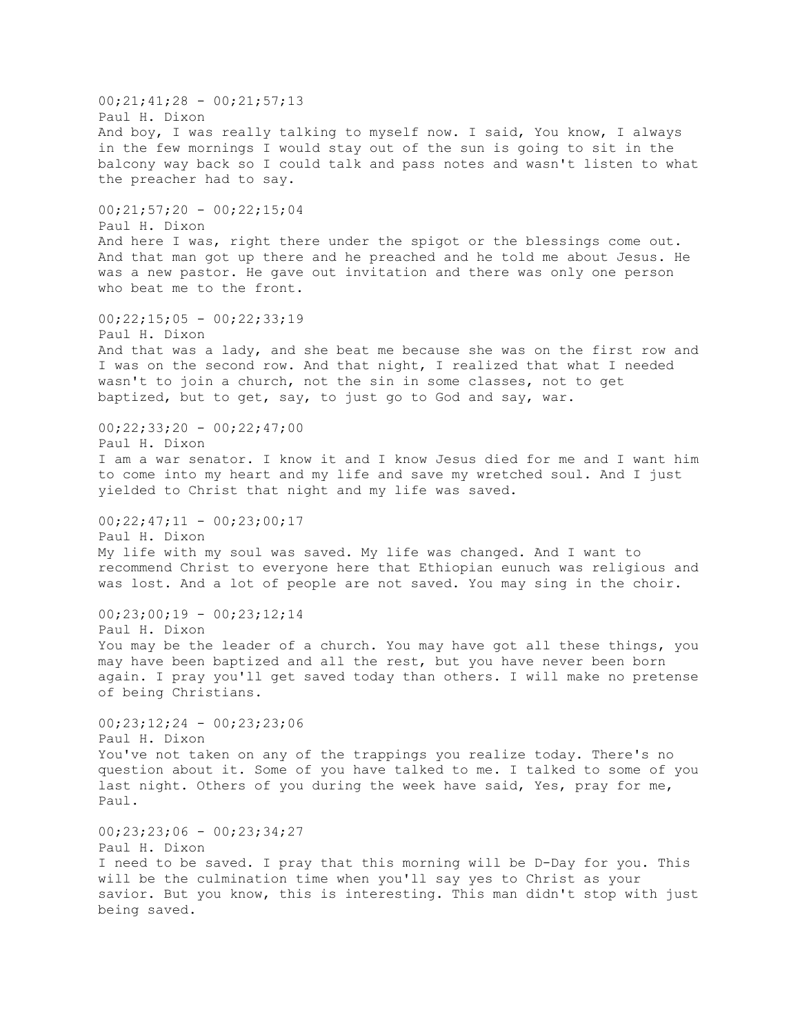00;21;41;28 - 00;21;57;13 Paul H. Dixon And boy, I was really talking to myself now. I said, You know, I always in the few mornings I would stay out of the sun is going to sit in the balcony way back so I could talk and pass notes and wasn't listen to what the preacher had to say.  $00;21;57;20 - 00;22;15;04$ Paul H. Dixon And here I was, right there under the spigot or the blessings come out. And that man got up there and he preached and he told me about Jesus. He was a new pastor. He gave out invitation and there was only one person who beat me to the front.  $00;22;15;05 - 00;22;33;19$ Paul H. Dixon And that was a lady, and she beat me because she was on the first row and I was on the second row. And that night, I realized that what I needed wasn't to join a church, not the sin in some classes, not to get baptized, but to get, say, to just go to God and say, war.  $00;22;33;20 - 00;22;47;00$ Paul H. Dixon I am a war senator. I know it and I know Jesus died for me and I want him to come into my heart and my life and save my wretched soul. And I just yielded to Christ that night and my life was saved.  $00;22;47;11 - 00;23;00;17$ Paul H. Dixon My life with my soul was saved. My life was changed. And I want to recommend Christ to everyone here that Ethiopian eunuch was religious and was lost. And a lot of people are not saved. You may sing in the choir.  $00;23;00;19 - 00;23;12;14$ Paul H. Dixon You may be the leader of a church. You may have got all these things, you may have been baptized and all the rest, but you have never been born again. I pray you'll get saved today than others. I will make no pretense of being Christians. 00;23;12;24 - 00;23;23;06 Paul H. Dixon You've not taken on any of the trappings you realize today. There's no question about it. Some of you have talked to me. I talked to some of you last night. Others of you during the week have said, Yes, pray for me, Paul.  $00;23;23;06 - 00;23;34;27$ Paul H. Dixon I need to be saved. I pray that this morning will be D-Day for you. This will be the culmination time when you'll say yes to Christ as your savior. But you know, this is interesting. This man didn't stop with just being saved.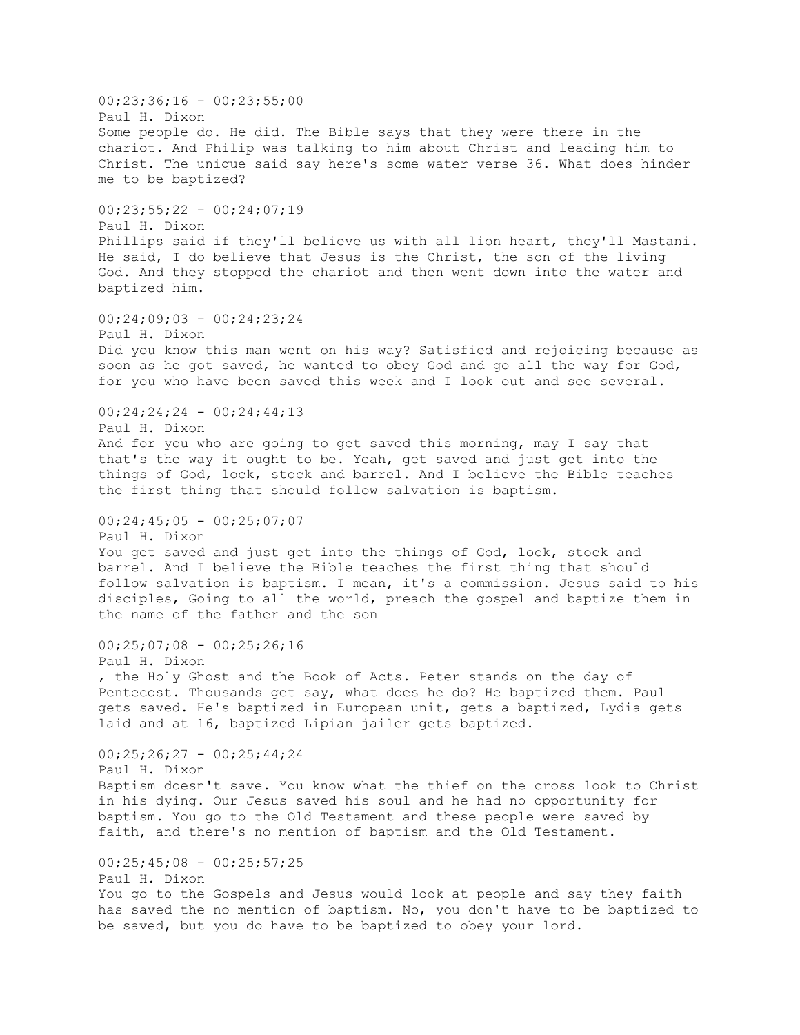00;23;36;16 - 00;23;55;00 Paul H. Dixon Some people do. He did. The Bible says that they were there in the chariot. And Philip was talking to him about Christ and leading him to Christ. The unique said say here's some water verse 36. What does hinder me to be baptized?  $00;23;55;22 - 00;24;07;19$ Paul H. Dixon Phillips said if they'll believe us with all lion heart, they'll Mastani. He said, I do believe that Jesus is the Christ, the son of the living God. And they stopped the chariot and then went down into the water and baptized him. 00;24;09;03 - 00;24;23;24 Paul H. Dixon Did you know this man went on his way? Satisfied and rejoicing because as soon as he got saved, he wanted to obey God and go all the way for God, for you who have been saved this week and I look out and see several.  $00;24;24;24 - 00;24;44;13$ Paul H. Dixon And for you who are going to get saved this morning, may I say that that's the way it ought to be. Yeah, get saved and just get into the things of God, lock, stock and barrel. And I believe the Bible teaches the first thing that should follow salvation is baptism.  $00;24;45;05 - 00;25;07;07$ Paul H. Dixon You get saved and just get into the things of God, lock, stock and barrel. And I believe the Bible teaches the first thing that should follow salvation is baptism. I mean, it's a commission. Jesus said to his disciples, Going to all the world, preach the gospel and baptize them in the name of the father and the son  $00;25;07;08 - 00;25;26;16$ Paul H. Dixon , the Holy Ghost and the Book of Acts. Peter stands on the day of Pentecost. Thousands get say, what does he do? He baptized them. Paul gets saved. He's baptized in European unit, gets a baptized, Lydia gets laid and at 16, baptized Lipian jailer gets baptized. 00;25;26;27 - 00;25;44;24 Paul H. Dixon Baptism doesn't save. You know what the thief on the cross look to Christ in his dying. Our Jesus saved his soul and he had no opportunity for baptism. You go to the Old Testament and these people were saved by faith, and there's no mention of baptism and the Old Testament.  $00;25;45;08 - 00;25;57;25$ Paul H. Dixon You go to the Gospels and Jesus would look at people and say they faith has saved the no mention of baptism. No, you don't have to be baptized to be saved, but you do have to be baptized to obey your lord.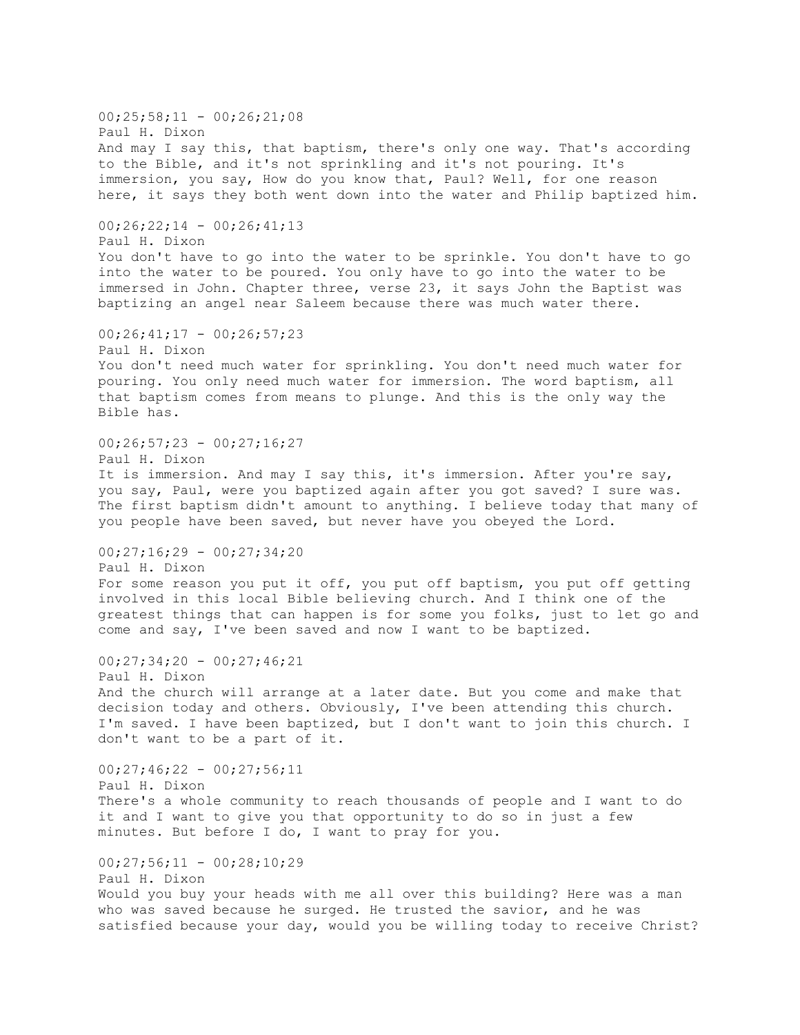$00;25;58;11 - 00;26;21;08$ Paul H. Dixon And may I say this, that baptism, there's only one way. That's according to the Bible, and it's not sprinkling and it's not pouring. It's immersion, you say, How do you know that, Paul? Well, for one reason here, it says they both went down into the water and Philip baptized him.  $00;26;22;14 - 00;26;41;13$ Paul H. Dixon You don't have to go into the water to be sprinkle. You don't have to go into the water to be poured. You only have to go into the water to be immersed in John. Chapter three, verse 23, it says John the Baptist was baptizing an angel near Saleem because there was much water there.  $00;26;41;17 - 00;26;57;23$ Paul H. Dixon You don't need much water for sprinkling. You don't need much water for pouring. You only need much water for immersion. The word baptism, all that baptism comes from means to plunge. And this is the only way the Bible has.  $00;26;57;23 - 00;27;16;27$ Paul H. Dixon It is immersion. And may I say this, it's immersion. After you're say, you say, Paul, were you baptized again after you got saved? I sure was. The first baptism didn't amount to anything. I believe today that many of you people have been saved, but never have you obeyed the Lord.  $00;27;16;29 - 00;27;34;20$ Paul H. Dixon For some reason you put it off, you put off baptism, you put off getting involved in this local Bible believing church. And I think one of the greatest things that can happen is for some you folks, just to let go and come and say, I've been saved and now I want to be baptized.  $00;27;34;20 - 00;27;46;21$ Paul H. Dixon And the church will arrange at a later date. But you come and make that decision today and others. Obviously, I've been attending this church. I'm saved. I have been baptized, but I don't want to join this church. I don't want to be a part of it. 00;27;46;22 - 00;27;56;11 Paul H. Dixon There's a whole community to reach thousands of people and I want to do it and I want to give you that opportunity to do so in just a few minutes. But before I do, I want to pray for you.  $00;27;56;11 - 00;28;10;29$ Paul H. Dixon Would you buy your heads with me all over this building? Here was a man who was saved because he surged. He trusted the savior, and he was satisfied because your day, would you be willing today to receive Christ?